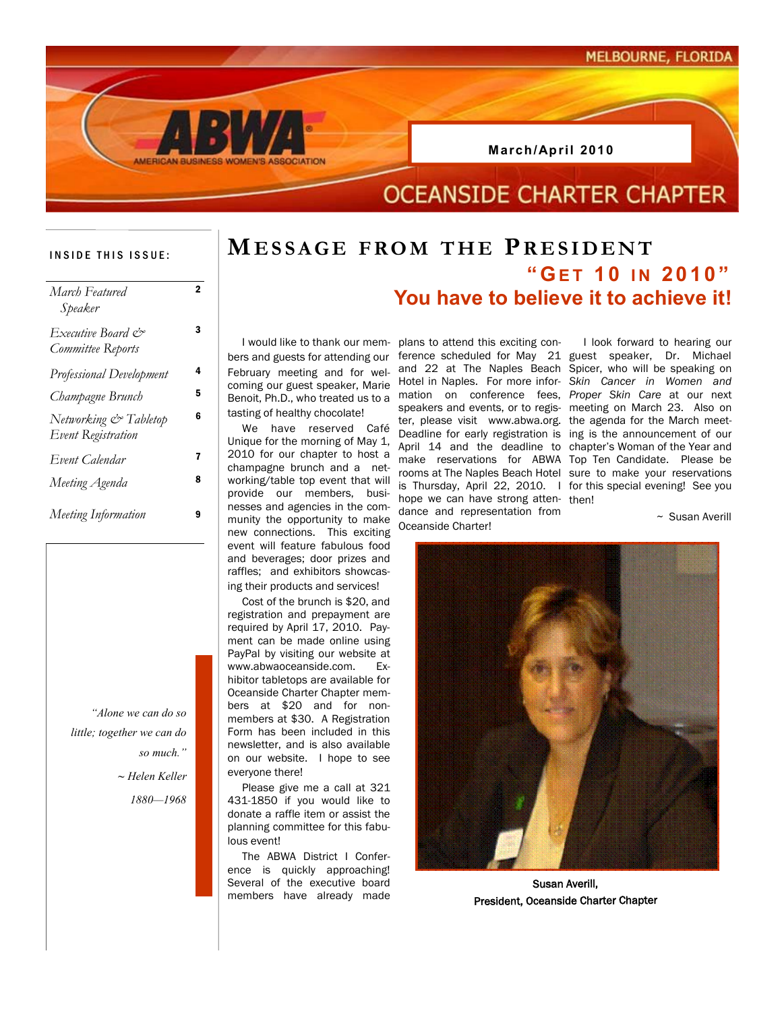

### INSIDE THIS ISSUE:

| March Featured<br>Speaker                   | 2 |
|---------------------------------------------|---|
| Executive Board &<br>Committee Reports      | 3 |
| <b>Professional Development</b>             | 4 |
| Champagne Brunch                            | 5 |
| Networking & Tabletop<br>Event Registration | 6 |
| Event Calendar                              | 7 |
| Meeting Agenda                              | 8 |
| Meeting Information                         | 9 |

*"Alone we can do so little; together we can do so much." ~ Helen Keller*

*1880—1968*

## **MESSAGE FROM THE PRESIDENT**

### **" GET 10 IN 2010" You have to believe it to achieve it!**

bers and guests for attending our February meeting and for welcoming our guest speaker, Marie Hotel in Naples. For more infor-*Skin Cancer in Women and*  Benoit, Ph.D., who treated us to a mation on conference fees, *Proper Skin Care* at our next tasting of healthy chocolate!

 We have reserved Café Unique for the morning of May 1, 2010 for our chapter to host a champagne brunch and a networking/table top event that will provide our members, businesses and agencies in the community the opportunity to make new connections. This exciting event will feature fabulous food and beverages; door prizes and raffles; and exhibitors showcasing their products and services!

 Cost of the brunch is \$20, and registration and prepayment are required by April 17, 2010. Payment can be made online using PayPal by visiting our website at www.abwaoceanside.com. Exhibitor tabletops are available for Oceanside Charter Chapter members at \$20 and for nonmembers at \$30. A Registration Form has been included in this newsletter, and is also available on our website. I hope to see everyone there!

 Please give me a call at 321 431-1850 if you would like to donate a raffle item or assist the planning committee for this fabulous event!

 The ABWA District I Conference is quickly approaching! Several of the executive board members have already made

 I would like to thank our mem-plans to attend this exciting conference scheduled for May 21 guest speaker, Dr. Michael and 22 at The Naples Beach Spicer, who will be speaking on speakers and events, or to regis-meeting on March 23. Also on ter, please visit www.abwa.org. the agenda for the March meet-Deadline for early registration is ing is the announcement of our April 14 and the deadline to chapter's Woman of the Year and make reservations for ABWA Top Ten Candidate. Please be rooms at The Naples Beach Hotel sure to make your reservations is Thursday, April 22, 2010. I for this special evening! See you hope we can have strong atten-then! dance and representation from Oceanside Charter!

I look forward to hearing our

 $\sim$  Susan Averill



Susan Averill, President, Oceanside Charter Chapter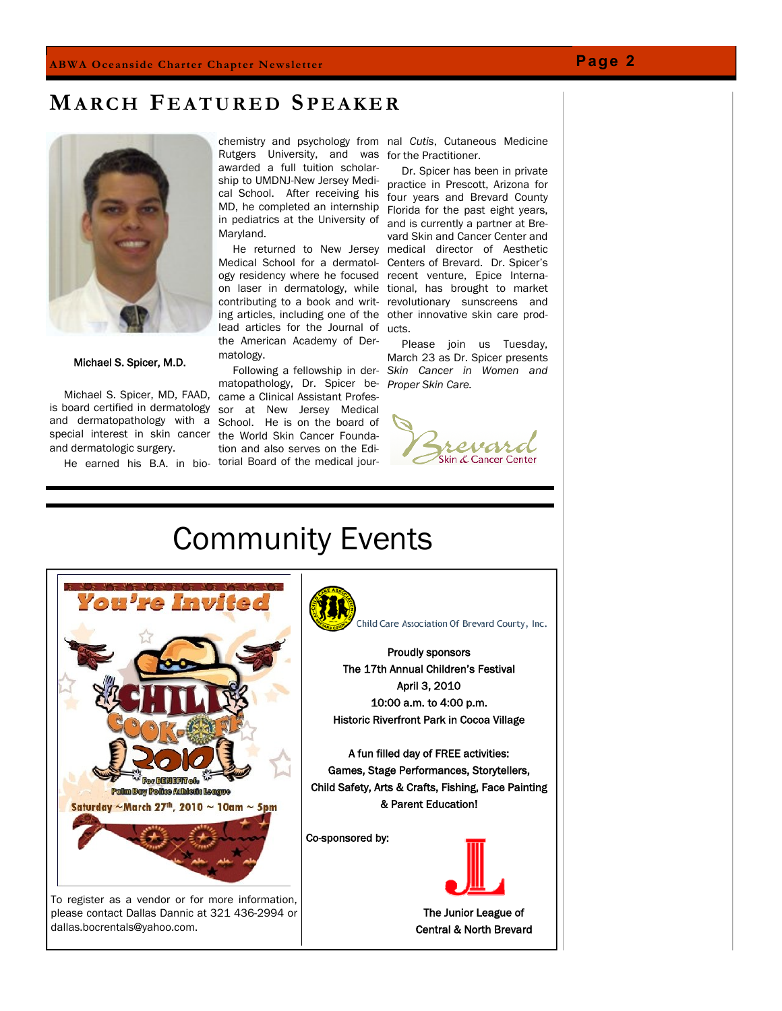### **MA R C H F E A T U R E D SP E A K E R**



Michael S. Spicer, M.D.

 Michael S. Spicer, MD, FAAD, came a Clinical Assistant Profesis board certified in dermatology sor at New Jersey Medical and dermatopathology with a School. He is on the board of special interest in skin cancer the World Skin Cancer Foundaand dermatologic surgery.

He earned his B.A. in bio-torial Board of the medical jour-

chemistry and psychology from nal *Cutis*, Cutaneous Medicine Rutgers University, and was for the Practitioner. awarded a full tuition scholarship to UMDNJ-New Jersey Medical School. After receiving his MD, he completed an internship in pediatrics at the University of Maryland.

Medical School for a dermatology residency where he focused recent venture, Epice Internacontributing to a book and writing articles, including one of the other innovative skin care prodlead articles for the Journal of ucts. the American Academy of Dermatology.

matopathology, Dr. Spicer be-*Proper Skin Care.* tion and also serves on the Edi-

 He returned to New Jersey medical director of Aesthetic on laser in dermatology, while tional, has brought to market Dr. Spicer has been in private practice in Prescott, Arizona for four years and Brevard County Florida for the past eight years, and is currently a partner at Brevard Skin and Cancer Center and Centers of Brevard. Dr. Spicer's revolutionary sunscreens and

 Following a fellowship in der-*Skin Cancer in Women and*  Please join us Tuesday, March 23 as Dr. Spicer presents



# Community Events



please contact Dallas Dannic at 321 436-2994 or dallas.bocrentals@yahoo.com.



The 17th Annual Children's Festival April 3, 2010 10:00 a.m. to 4:00 p.m. Historic Riverfront Park in Cocoa Village

A fun filled day of FREE activities: Games, Stage Performances, Storytellers, Child Safety, Arts & Crafts, Fishing, Face Painting & Parent Education!

Co-sponsored by:



The Junior League of Central & North Brevard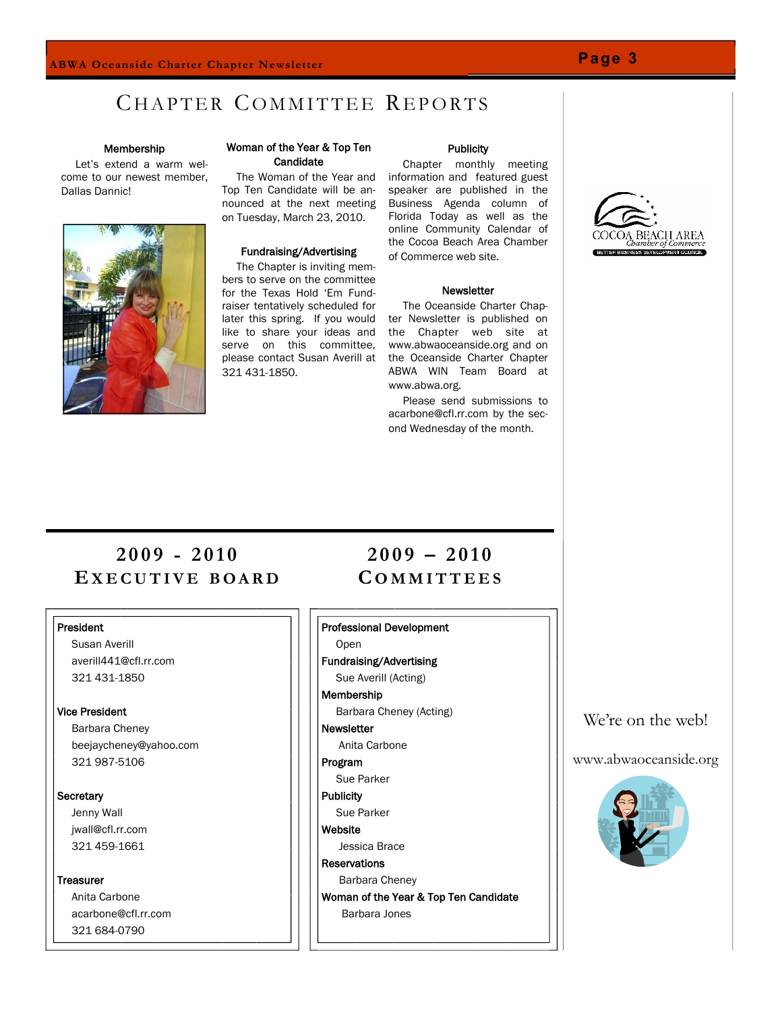### **Page 3**

### CHAPTER COMMITTEE REPORTS

### Membership

 Let's extend a warm welcome to our newest member, Dallas Dannic!



### Woman of the Year & Top Ten **Candidate**

Top Ten Candidate will be announced at the next meeting on Tuesday, March 23, 2010.

#### Fundraising/Advertising

 The Chapter is inviting members to serve on the committee for the Texas Hold 'Em Fundraiser tentatively scheduled for 321 431-1850.

#### **Publicity**

 The Woman of the Year and information and featured guest Chapter monthly meeting speaker are published in the Business Agenda column of Florida Today as well as the online Community Calendar of the Cocoa Beach Area Chamber of Commerce web site.

#### **Newsletter**

later this spring. If you would ter Newsletter is published on like to share your ideas and the Chapter web site at serve on this committee, www.abwaoceanside.org and on please contact Susan Averill at the Oceanside Charter Chapter The Oceanside Charter Chap-ABWA WIN Team Board at www.abwa.org.

> Please send submissions to acarbone@cfl.rr.com by the second Wednesday of the month.



### **2 0 0 9 - 2 0 1 0 EX E C U T I V E B O A R D**

### President

 Susan Averill averill441@cfl.rr.com 321 431-1850

### Vice President

 Barbara Cheney beejaycheney@yahoo.com 321 987-5106

#### **Secretary**

 Jenny Wall jwall@cfl.rr.com 321 459-1661

**Treasurer**  Anita Carbone acarbone@cfl.rr.com

321 684-0790

### **2 0 0 9 – 2 0 1 0 C O M M I T T E E S**

### Professional Development

Open

Fundraising/Advertising Sue Averill (Acting)

### Membership

- Barbara Cheney (Acting) **Newsletter** Anita Carbone
- Program
- Sue Parker
- **Publicity**
- Sue Parker **Website**
- Jessica Brace
- **Reservations**
- Barbara Cheney
- Woman of the Year & Top Ten Candidate Barbara Jones

### We're on the web!

### www.abwaoceanside.org

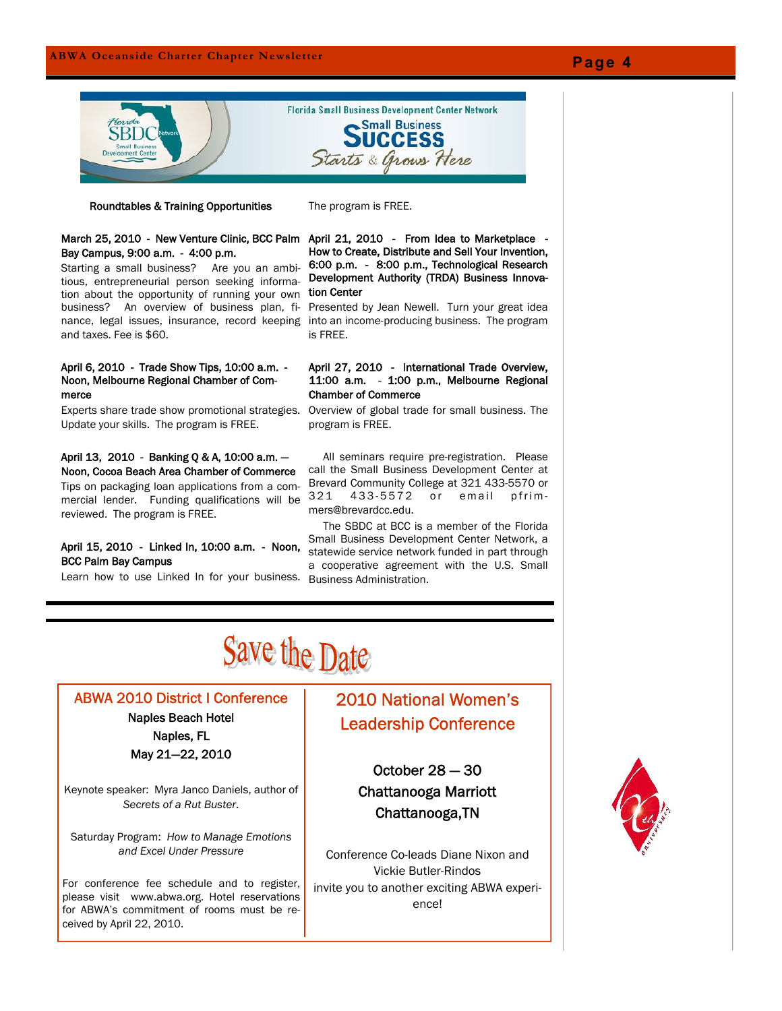

#### Roundtables & Training Opportunities

The program is FREE.

### March 25, 2010 - New Venture Clinic, BCC Palm April 21, 2010 - From Idea to Marketplace - Bay Campus, 9:00 a.m. - 4:00 p.m.

Starting a small business? Are you an ambitious, entrepreneurial person seeking information about the opportunity of running your own business? An overview of business plan, finance, legal issues, insurance, record keeping and taxes. Fee is \$60.

### April 6, 2010 - Trade Show Tips, 10:00 a.m. - Noon, Melbourne Regional Chamber of Commerce

Experts share trade show promotional strategies. Update your skills. The program is FREE.

#### April 13, 2010 - Banking Q & A, 10:00 a.m. — Noon, Cocoa Beach Area Chamber of Commerce

Tips on packaging loan applications from a commercial lender. Funding qualifications will be reviewed. The program is FREE.

### April 15, 2010 - Linked In, 10:00 a.m. - Noon, BCC Palm Bay Campus

Learn how to use Linked In for your business.

How to Create, Distribute and Sell Your Invention, 6:00 p.m. - 8:00 p.m., Technological Research Development Authority (TRDA) Business Innovation Center

Presented by Jean Newell. Turn your great idea into an income-producing business. The program is FREE.

### April 27, 2010 - International Trade Overview, 11:00 a.m. - 1:00 p.m., Melbourne Regional Chamber of Commerce

Overview of global trade for small business. The program is FREE.

 All seminars require pre-registration. Please call the Small Business Development Center at Brevard Community College at 321 433-5570 or 321 433-5572 or email pfrimmers@brevardcc.edu.

 The SBDC at BCC is a member of the Florida Small Business Development Center Network, a statewide service network funded in part through a cooperative agreement with the U.S. Small Business Administration.

# Save the Date

### ABWA 2010 District I Conference

### Naples Beach Hotel Naples, FL

May 21—22, 2010

Keynote speaker: Myra Janco Daniels, author of *Secrets of a Rut Buster*.

Saturday Program: *How to Manage Emotions and Excel Under Pressure*

For conference fee schedule and to register, please visit www.abwa.org. Hotel reservations for ABWA's commitment of rooms must be received by April 22, 2010.

### 2010 National Women's Leadership Conference

October 28 — 30 Chattanooga Marriott Chattanooga,TN

Conference Co-leads Diane Nixon and Vickie Butler-Rindos invite you to another exciting ABWA experience!

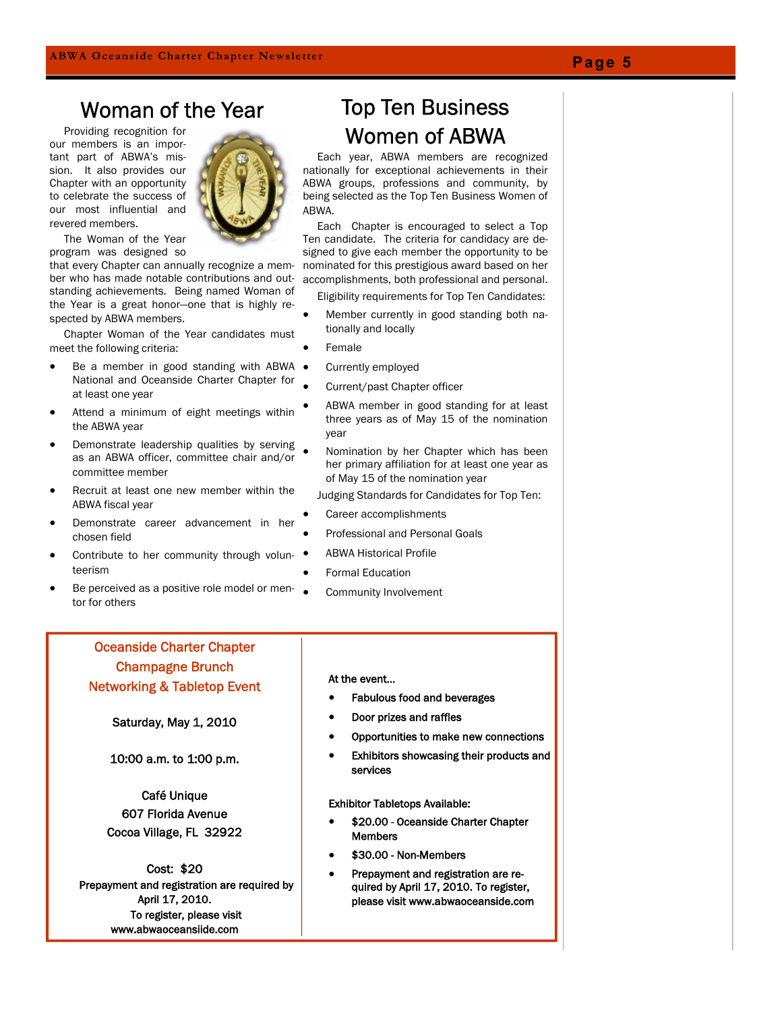### Woman of the Year

 Providing recognition for our members is an important part of ABWA's mission. It also provides our Chapter with an opportunity to celebrate the success of our most influential and revered members.



 The Woman of the Year program was designed so

that every Chapter can annually recognize a member who has made notable contributions and outstanding achievements. Being named Woman of the Year is a great honor—one that is highly respected by ABWA members.

 Chapter Woman of the Year candidates must meet the following criteria:

- Be a member in good standing with ABWA National and Oceanside Charter Chapter for at least one year
- Attend a minimum of eight meetings within the ABWA year
- Demonstrate leadership qualities by serving as an ABWA officer, committee chair and/or committee member
- Recruit at least one new member within the ABWA fiscal year
- Demonstrate career advancement in her chosen field
- Contribute to her community through volunteerism
- Be perceived as a positive role model or mentor for others

### Oceanside Charter Chapter Champagne Brunch Networking & Tabletop Event

Saturday, May 1, 2010

10:00 a.m. to 1:00 p.m.

Café Unique 607 Florida Avenue Cocoa Village, FL 32922

Cost: \$20 Prepayment and registration are required by April 17, 2010. To register, please visit www.abwaoceansiide.com

### Top Ten Business Women of ABWA

 Each year, ABWA members are recognized nationally for exceptional achievements in their ABWA groups, professions and community, by being selected as the Top Ten Business Women of ABWA.

 Each Chapter is encouraged to select a Top Ten candidate. The criteria for candidacy are designed to give each member the opportunity to be nominated for this prestigious award based on her accomplishments, both professional and personal.

Eligibility requirements for Top Ten Candidates:

- Member currently in good standing both nationally and locally
- Female
- Currently employed
- Current/past Chapter officer
- ABWA member in good standing for at least three years as of May 15 of the nomination year
- Nomination by her Chapter which has been her primary affiliation for at least one year as of May 15 of the nomination year
- Judging Standards for Candidates for Top Ten:
- Career accomplishments
- Professional and Personal Goals
- ABWA Historical Profile
- Formal Education
	- Community Involvement

### At the event…

- Fabulous food and beverages
- Door prizes and raffles
- Opportunities to make new connections
- Exhibitors showcasing their products and services

Exhibitor Tabletops Available:

- \$20.00 Oceanside Charter Chapter Members
- \$30.00 Non-Members
- Prepayment and registration are required by April 17, 2010. To register, please visit www.abwaoceanside.com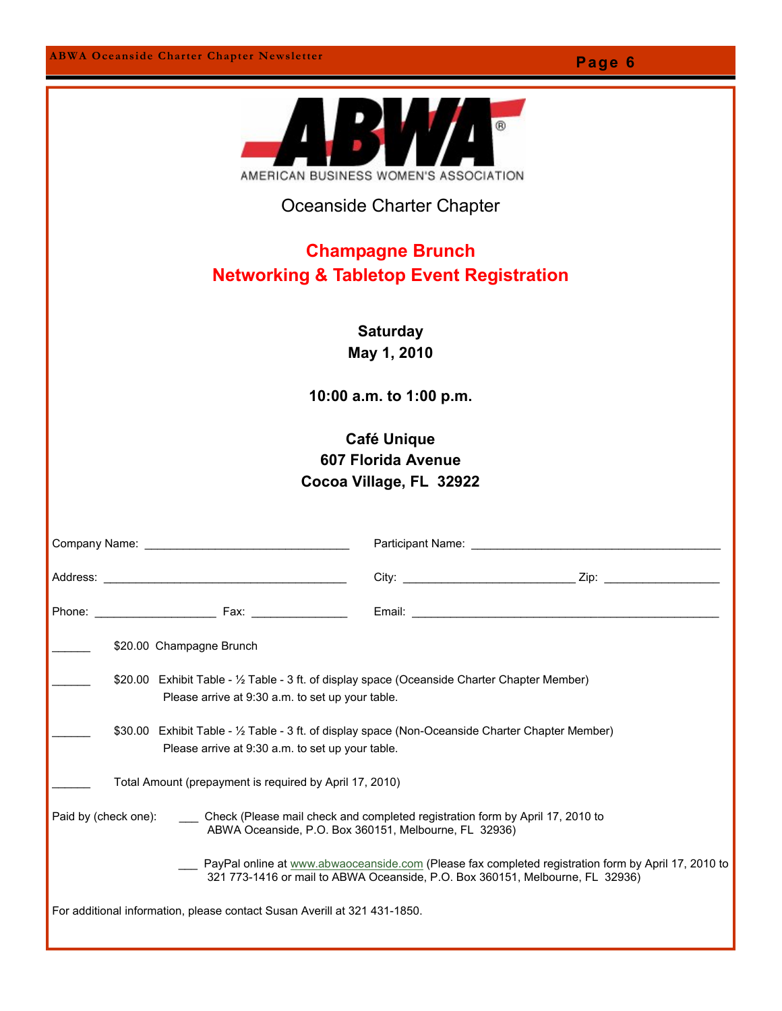AMERICAN BUSINESS WOMEN'S ASSOCIATION Oceanside Charter Chapter **Champagne Brunch Networking & Tabletop Event Registration Saturday May 1, 2010 10:00 a.m. to 1:00 p.m. Café Unique 607 Florida Avenue Cocoa Village, FL 32922** Company Name: \_\_\_\_\_\_\_\_\_\_\_\_\_\_\_\_\_\_\_\_\_\_\_\_\_\_\_\_\_\_\_\_ Participant Name: \_\_\_\_\_\_\_\_\_\_\_\_\_\_\_\_\_\_\_\_\_\_\_\_\_\_\_\_\_\_\_\_\_\_\_\_\_\_\_ Address: \_\_\_\_\_\_\_\_\_\_\_\_\_\_\_\_\_\_\_\_\_\_\_\_\_\_\_\_\_\_\_\_\_\_\_\_\_\_ City: \_\_\_\_\_\_\_\_\_\_\_\_\_\_\_\_\_\_\_\_\_\_\_\_\_\_\_ Zip: \_\_\_\_\_\_\_\_\_\_\_\_\_\_\_\_\_\_ Phone: \_\_\_\_\_\_\_\_\_\_\_\_\_\_\_\_\_\_\_ Fax: \_\_\_\_\_\_\_\_\_\_\_\_\_\_\_ Email: \_\_\_\_\_\_\_\_\_\_\_\_\_\_\_\_\_\_\_\_\_\_\_\_\_\_\_\_\_\_\_\_\_\_\_\_\_\_\_\_\_\_\_\_\_\_\_\_ \$20.00 Champagne Brunch \_\_\_\_\_\_ \$20.00 Exhibit Table - ½ Table - 3 ft. of display space (Oceanside Charter Chapter Member) Please arrive at 9:30 a.m. to set up your table. \_\_\_\_\_\_ \$30.00 Exhibit Table - ½ Table - 3 ft. of display space (Non-Oceanside Charter Chapter Member) Please arrive at 9:30 a.m. to set up your table. Total Amount (prepayment is required by April 17, 2010) Paid by (check one): \_\_\_\_ Check (Please mail check and completed registration form by April 17, 2010 to ABWA Oceanside, P.O. Box 360151, Melbourne, FL 32936) \_\_\_ PayPal online at www.abwaoceanside.com (Please fax completed registration form by April 17, 2010 to 321 773-1416 or mail to ABWA Oceanside, P.O. Box 360151, Melbourne, FL 32936) For additional information, please contact Susan Averill at 321 431-1850.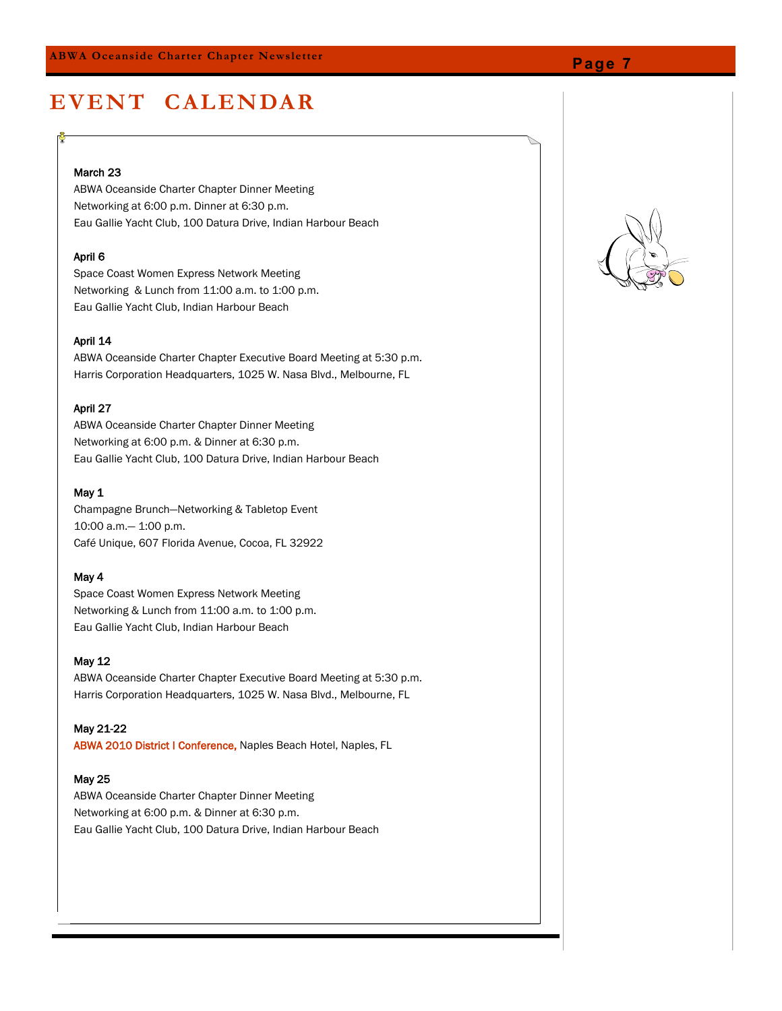### **E V E N T C AL E N DAR**

### March 23

ABWA Oceanside Charter Chapter Dinner Meeting Networking at 6:00 p.m. Dinner at 6:30 p.m. Eau Gallie Yacht Club, 100 Datura Drive, Indian Harbour Beach

### April 6

Space Coast Women Express Network Meeting Networking & Lunch from 11:00 a.m. to 1:00 p.m. Eau Gallie Yacht Club, Indian Harbour Beach

### April 14

ABWA Oceanside Charter Chapter Executive Board Meeting at 5:30 p.m. Harris Corporation Headquarters, 1025 W. Nasa Blvd., Melbourne, FL

### April 27

ABWA Oceanside Charter Chapter Dinner Meeting Networking at 6:00 p.m. & Dinner at 6:30 p.m. Eau Gallie Yacht Club, 100 Datura Drive, Indian Harbour Beach

### May 1

Champagne Brunch—Networking & Tabletop Event 10:00 a.m.— 1:00 p.m. Café Unique, 607 Florida Avenue, Cocoa, FL 32922

### May 4

Space Coast Women Express Network Meeting Networking & Lunch from 11:00 a.m. to 1:00 p.m. Eau Gallie Yacht Club, Indian Harbour Beach

### May 12

ABWA Oceanside Charter Chapter Executive Board Meeting at 5:30 p.m. Harris Corporation Headquarters, 1025 W. Nasa Blvd., Melbourne, FL

#### May 21-22

ABWA 2010 District I Conference, Naples Beach Hotel, Naples, FL

### May 25

ABWA Oceanside Charter Chapter Dinner Meeting Networking at 6:00 p.m. & Dinner at 6:30 p.m. Eau Gallie Yacht Club, 100 Datura Drive, Indian Harbour Beach



### **Page 7**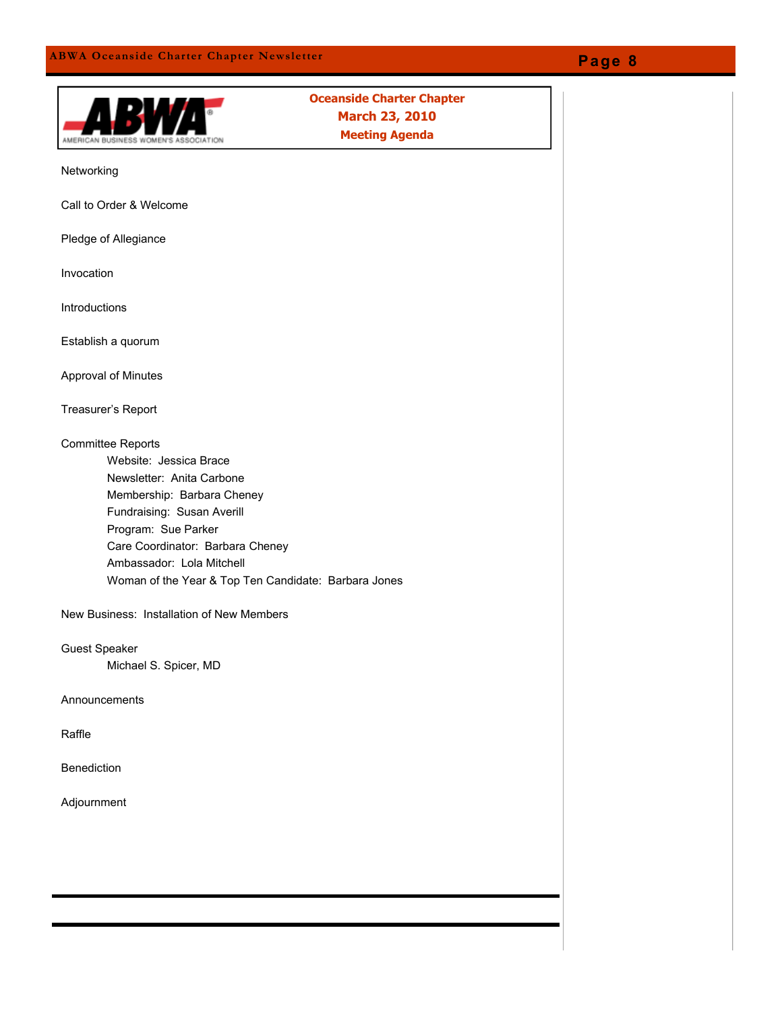### **Oceanside Charter Chapter March 23, 2010 Meeting Agenda**AMERICAN BUSINESS Networking Call to Order & Welcome Pledge of Allegiance Invocation Introductions Establish a quorum Approval of Minutes Treasurer's Report Committee Reports Website: Jessica Brace Newsletter: Anita Carbone Membership: Barbara Cheney Fundraising: Susan Averill Program: Sue Parker Care Coordinator: Barbara Cheney Ambassador: Lola Mitchell Woman of the Year & Top Ten Candidate: Barbara Jones New Business: Installation of New Members Guest Speaker Michael S. Spicer, MD Announcements Raffle

Benediction

Adjournment

### **Page 8**